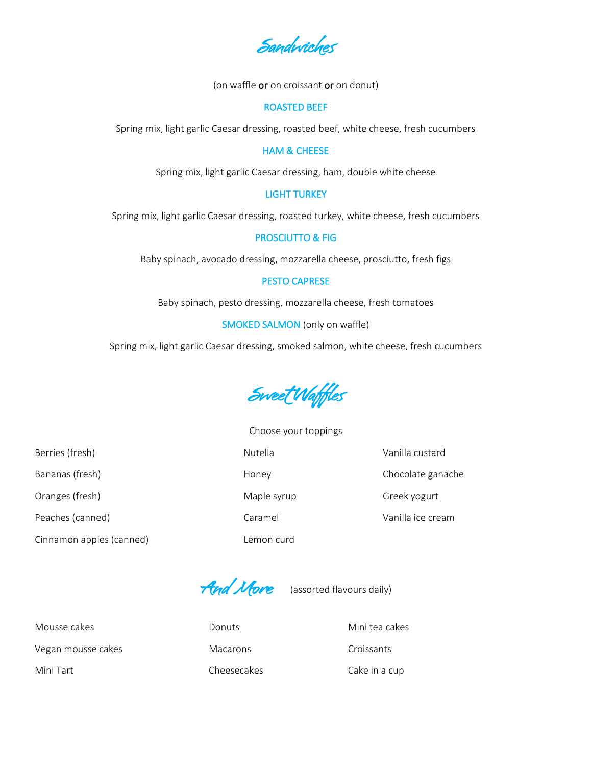Sandwiches

(on waffle or on croissant or on donut)

#### ROASTED BEEF

Spring mix, light garlic Caesar dressing, roasted beef, white cheese, fresh cucumbers

## HAM & CHEESE

Spring mix, light garlic Caesar dressing, ham, double white cheese

# LIGHT TURKEY

Spring mix, light garlic Caesar dressing, roasted turkey, white cheese, fresh cucumbers

### PROSCIUTTO & FIG

Baby spinach, avocado dressing, mozzarella cheese, prosciutto, fresh figs

### PESTO CAPRESE

Baby spinach, pesto dressing, mozzarella cheese, fresh tomatoes

SMOKED SALMON (only on waffle)

Spring mix, light garlic Caesar dressing, smoked salmon, white cheese, fresh cucumbers

Sweet Waffles

Cinnamon apples (canned) Lemon curd

Choose your toppings Berries (fresh) **Nutella** Vanilla custard Vanilla Custard Bananas (fresh) and the control of the Honey Chocolate ganache Chocolate ganache Oranges (fresh) Maple syrup Greek yogurt Peaches (canned) and Caramel Caramel Caramel Vanilla ice cream

And More (assorted flavours daily)

Mousse cakes **Mousse cakes** Donuts **Mini tea cakes** Mini tea cakes Vegan mousse cakes Macarons Macarons Croissants Mini Tart Cheesecakes Cheesecakes Cake in a cup